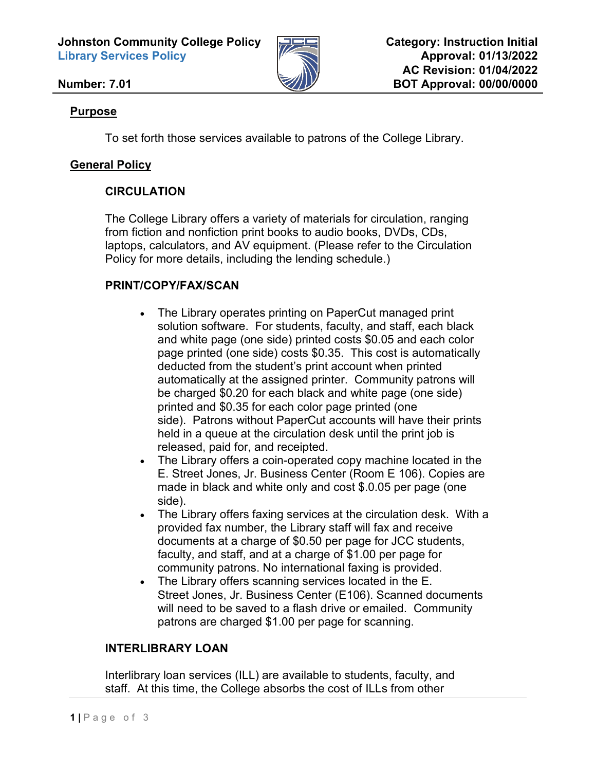**Johnston Community College Policy Library Services Policy**



### **Number: 7.01**

#### **Purpose**

To set forth those services available to patrons of the College Library.

### **General Policy**

### **CIRCULATION**

The College Library offers a variety of materials for circulation, ranging from fiction and nonfiction print books to audio books, DVDs, CDs, laptops, calculators, and AV equipment. (Please refer to the Circulation Policy for more details, including the lending schedule.)

### **PRINT/COPY/FAX/SCAN**

- The Library operates printing on PaperCut managed print solution software. For students, faculty, and staff, each black and white page (one side) printed costs \$0.05 and each color page printed (one side) costs \$0.35. This cost is automatically deducted from the student's print account when printed automatically at the assigned printer. Community patrons will be charged \$0.20 for each black and white page (one side) printed and \$0.35 for each color page printed (one side). Patrons without PaperCut accounts will have their prints held in a queue at the circulation desk until the print job is released, paid for, and receipted.
- The Library offers a coin-operated copy machine located in the E. Street Jones, Jr. Business Center (Room E 106). Copies are made in black and white only and cost \$.0.05 per page (one side).
- The Library offers faxing services at the circulation desk. With a provided fax number, the Library staff will fax and receive documents at a charge of \$0.50 per page for JCC students, faculty, and staff, and at a charge of \$1.00 per page for community patrons. No international faxing is provided.
- The Library offers scanning services located in the E. Street Jones, Jr. Business Center (E106). Scanned documents will need to be saved to a flash drive or emailed. Community patrons are charged \$1.00 per page for scanning.

### **INTERLIBRARY LOAN**

Interlibrary loan services (ILL) are available to students, faculty, and staff. At this time, the College absorbs the cost of ILLs from other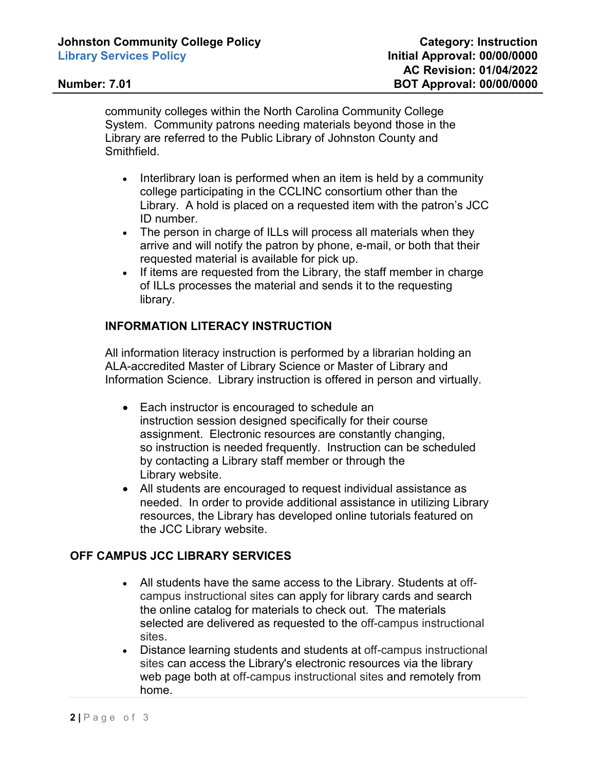community colleges within the North Carolina Community College System. Community patrons needing materials beyond those in the Library are referred to the Public Library of Johnston County and Smithfield.

- Interlibrary loan is performed when an item is held by a community college participating in the CCLINC consortium other than the Library. A hold is placed on a requested item with the patron's JCC ID number.
- The person in charge of ILLs will process all materials when they arrive and will notify the patron by phone, e-mail, or both that their requested material is available for pick up.
- If items are requested from the Library, the staff member in charge of ILLs processes the material and sends it to the requesting library.

# **INFORMATION LITERACY INSTRUCTION**

All information literacy instruction is performed by a librarian holding an ALA-accredited Master of Library Science or Master of Library and Information Science. Library instruction is offered in person and virtually.

- Each instructor is encouraged to schedule an instruction session designed specifically for their course assignment. Electronic resources are constantly changing, so instruction is needed frequently. Instruction can be scheduled by contacting a Library staff member or through the Library website.
- All students are encouraged to request individual assistance as needed. In order to provide additional assistance in utilizing Library resources, the Library has developed online tutorials featured on the JCC Library website.

# **OFF CAMPUS JCC LIBRARY SERVICES**

- All students have the same access to the Library. Students at offcampus instructional sites can apply for library cards and search the online catalog for materials to check out. The materials selected are delivered as requested to the off-campus instructional sites.
- Distance learning students and students at off-campus instructional sites can access the Library's electronic resources via the library web page both at off-campus instructional sites and remotely from home.